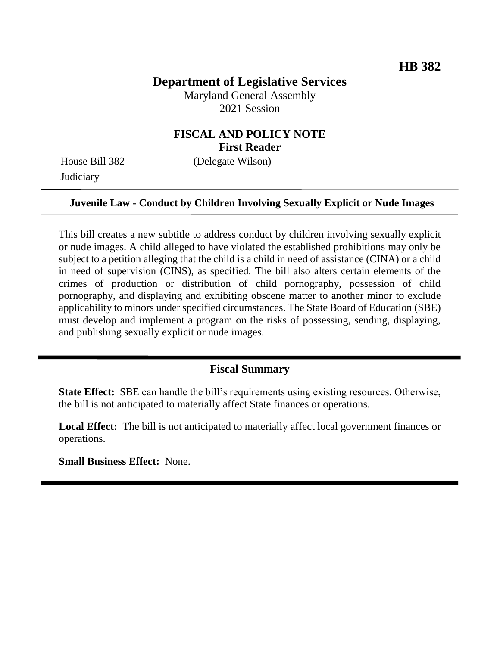# **Department of Legislative Services**

Maryland General Assembly 2021 Session

# **FISCAL AND POLICY NOTE First Reader**

House Bill 382 (Delegate Wilson) **Judiciary** 

#### **Juvenile Law - Conduct by Children Involving Sexually Explicit or Nude Images**

This bill creates a new subtitle to address conduct by children involving sexually explicit or nude images. A child alleged to have violated the established prohibitions may only be subject to a petition alleging that the child is a child in need of assistance (CINA) or a child in need of supervision (CINS), as specified. The bill also alters certain elements of the crimes of production or distribution of child pornography, possession of child pornography, and displaying and exhibiting obscene matter to another minor to exclude applicability to minors under specified circumstances. The State Board of Education (SBE) must develop and implement a program on the risks of possessing, sending, displaying, and publishing sexually explicit or nude images.

#### **Fiscal Summary**

**State Effect:** SBE can handle the bill's requirements using existing resources. Otherwise, the bill is not anticipated to materially affect State finances or operations.

**Local Effect:** The bill is not anticipated to materially affect local government finances or operations.

**Small Business Effect:** None.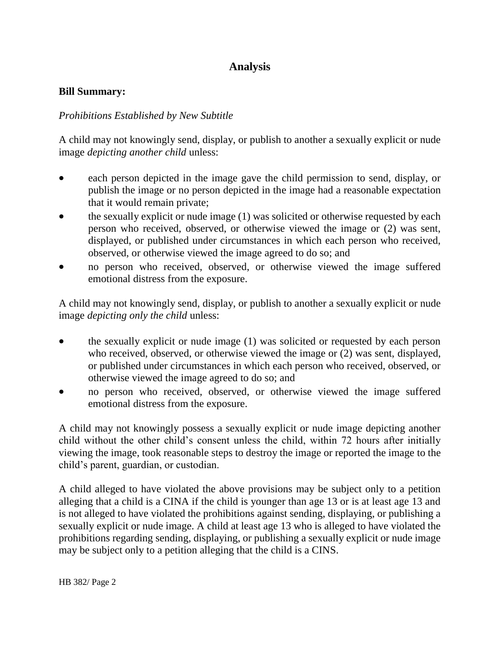# **Analysis**

#### **Bill Summary:**

#### *Prohibitions Established by New Subtitle*

A child may not knowingly send, display, or publish to another a sexually explicit or nude image *depicting another child* unless:

- each person depicted in the image gave the child permission to send, display, or publish the image or no person depicted in the image had a reasonable expectation that it would remain private;
- the sexually explicit or nude image (1) was solicited or otherwise requested by each person who received, observed, or otherwise viewed the image or (2) was sent, displayed, or published under circumstances in which each person who received, observed, or otherwise viewed the image agreed to do so; and
- no person who received, observed, or otherwise viewed the image suffered emotional distress from the exposure.

A child may not knowingly send, display, or publish to another a sexually explicit or nude image *depicting only the child* unless:

- the sexually explicit or nude image (1) was solicited or requested by each person who received, observed, or otherwise viewed the image or (2) was sent, displayed, or published under circumstances in which each person who received, observed, or otherwise viewed the image agreed to do so; and
- no person who received, observed, or otherwise viewed the image suffered emotional distress from the exposure.

A child may not knowingly possess a sexually explicit or nude image depicting another child without the other child's consent unless the child, within 72 hours after initially viewing the image, took reasonable steps to destroy the image or reported the image to the child's parent, guardian, or custodian.

A child alleged to have violated the above provisions may be subject only to a petition alleging that a child is a CINA if the child is younger than age 13 or is at least age 13 and is not alleged to have violated the prohibitions against sending, displaying, or publishing a sexually explicit or nude image. A child at least age 13 who is alleged to have violated the prohibitions regarding sending, displaying, or publishing a sexually explicit or nude image may be subject only to a petition alleging that the child is a CINS.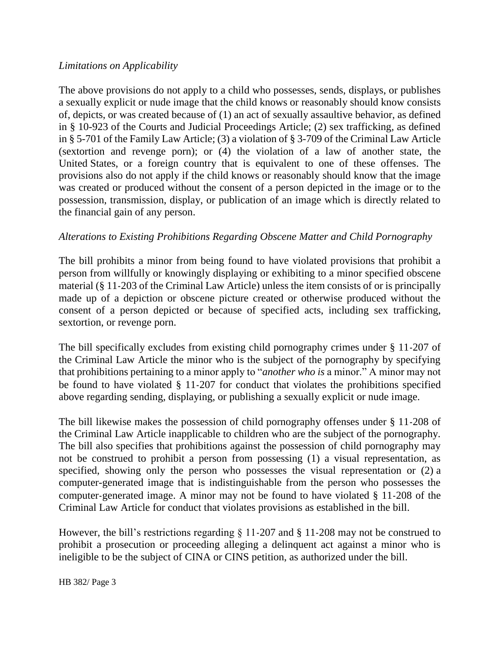## *Limitations on Applicability*

The above provisions do not apply to a child who possesses, sends, displays, or publishes a sexually explicit or nude image that the child knows or reasonably should know consists of, depicts, or was created because of (1) an act of sexually assaultive behavior, as defined in § 10-923 of the Courts and Judicial Proceedings Article; (2) sex trafficking, as defined in § 5-701 of the Family Law Article; (3) a violation of § 3-709 of the Criminal Law Article (sextortion and revenge porn); or (4) the violation of a law of another state, the United States, or a foreign country that is equivalent to one of these offenses. The provisions also do not apply if the child knows or reasonably should know that the image was created or produced without the consent of a person depicted in the image or to the possession, transmission, display, or publication of an image which is directly related to the financial gain of any person.

## *Alterations to Existing Prohibitions Regarding Obscene Matter and Child Pornography*

The bill prohibits a minor from being found to have violated provisions that prohibit a person from willfully or knowingly displaying or exhibiting to a minor specified obscene material (§ 11-203 of the Criminal Law Article) unless the item consists of or is principally made up of a depiction or obscene picture created or otherwise produced without the consent of a person depicted or because of specified acts, including sex trafficking, sextortion, or revenge porn.

The bill specifically excludes from existing child pornography crimes under § 11-207 of the Criminal Law Article the minor who is the subject of the pornography by specifying that prohibitions pertaining to a minor apply to "*another who is* a minor." A minor may not be found to have violated § 11-207 for conduct that violates the prohibitions specified above regarding sending, displaying, or publishing a sexually explicit or nude image.

The bill likewise makes the possession of child pornography offenses under § 11-208 of the Criminal Law Article inapplicable to children who are the subject of the pornography. The bill also specifies that prohibitions against the possession of child pornography may not be construed to prohibit a person from possessing (1) a visual representation, as specified, showing only the person who possesses the visual representation or (2) a computer-generated image that is indistinguishable from the person who possesses the computer-generated image. A minor may not be found to have violated § 11-208 of the Criminal Law Article for conduct that violates provisions as established in the bill.

However, the bill's restrictions regarding § 11-207 and § 11-208 may not be construed to prohibit a prosecution or proceeding alleging a delinquent act against a minor who is ineligible to be the subject of CINA or CINS petition, as authorized under the bill.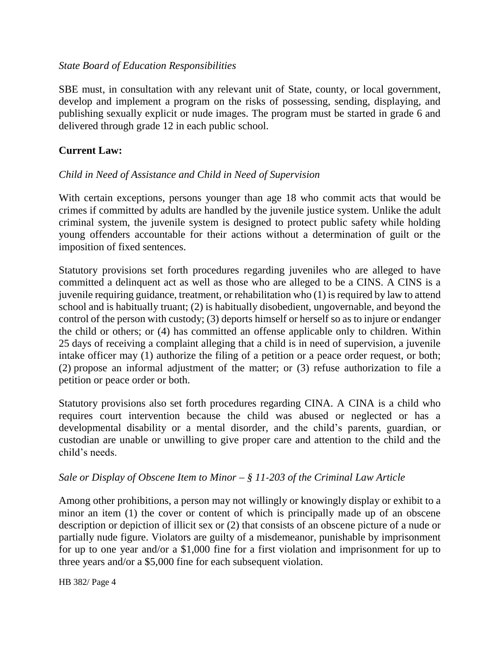#### *State Board of Education Responsibilities*

SBE must, in consultation with any relevant unit of State, county, or local government, develop and implement a program on the risks of possessing, sending, displaying, and publishing sexually explicit or nude images. The program must be started in grade 6 and delivered through grade 12 in each public school.

## **Current Law:**

# *Child in Need of Assistance and Child in Need of Supervision*

With certain exceptions, persons younger than age 18 who commit acts that would be crimes if committed by adults are handled by the juvenile justice system. Unlike the adult criminal system, the juvenile system is designed to protect public safety while holding young offenders accountable for their actions without a determination of guilt or the imposition of fixed sentences.

Statutory provisions set forth procedures regarding juveniles who are alleged to have committed a delinquent act as well as those who are alleged to be a CINS. A CINS is a juvenile requiring guidance, treatment, or rehabilitation who (1) is required by law to attend school and is habitually truant; (2) is habitually disobedient, ungovernable, and beyond the control of the person with custody; (3) deports himself or herself so as to injure or endanger the child or others; or (4) has committed an offense applicable only to children. Within 25 days of receiving a complaint alleging that a child is in need of supervision, a juvenile intake officer may (1) authorize the filing of a petition or a peace order request, or both; (2) propose an informal adjustment of the matter; or (3) refuse authorization to file a petition or peace order or both.

Statutory provisions also set forth procedures regarding CINA. A CINA is a child who requires court intervention because the child was abused or neglected or has a developmental disability or a mental disorder, and the child's parents, guardian, or custodian are unable or unwilling to give proper care and attention to the child and the child's needs.

## *Sale or Display of Obscene Item to Minor – § 11-203 of the Criminal Law Article*

Among other prohibitions, a person may not willingly or knowingly display or exhibit to a minor an item (1) the cover or content of which is principally made up of an obscene description or depiction of illicit sex or (2) that consists of an obscene picture of a nude or partially nude figure. Violators are guilty of a misdemeanor, punishable by imprisonment for up to one year and/or a \$1,000 fine for a first violation and imprisonment for up to three years and/or a \$5,000 fine for each subsequent violation.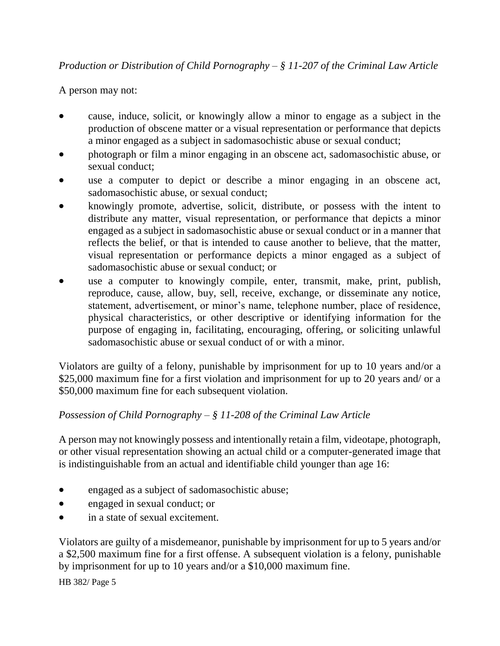# *Production or Distribution of Child Pornography – § 11-207 of the Criminal Law Article*

## A person may not:

- cause, induce, solicit, or knowingly allow a minor to engage as a subject in the production of obscene matter or a visual representation or performance that depicts a minor engaged as a subject in sadomasochistic abuse or sexual conduct;
- photograph or film a minor engaging in an obscene act, sadomasochistic abuse, or sexual conduct;
- use a computer to depict or describe a minor engaging in an obscene act, sadomasochistic abuse, or sexual conduct;
- knowingly promote, advertise, solicit, distribute, or possess with the intent to distribute any matter, visual representation, or performance that depicts a minor engaged as a subject in sadomasochistic abuse or sexual conduct or in a manner that reflects the belief, or that is intended to cause another to believe, that the matter, visual representation or performance depicts a minor engaged as a subject of sadomasochistic abuse or sexual conduct; or
- use a computer to knowingly compile, enter, transmit, make, print, publish, reproduce, cause, allow, buy, sell, receive, exchange, or disseminate any notice, statement, advertisement, or minor's name, telephone number, place of residence, physical characteristics, or other descriptive or identifying information for the purpose of engaging in, facilitating, encouraging, offering, or soliciting unlawful sadomasochistic abuse or sexual conduct of or with a minor.

Violators are guilty of a felony, punishable by imprisonment for up to 10 years and/or a \$25,000 maximum fine for a first violation and imprisonment for up to 20 years and/ or a \$50,000 maximum fine for each subsequent violation.

## *Possession of Child Pornography – § 11-208 of the Criminal Law Article*

A person may not knowingly possess and intentionally retain a film, videotape, photograph, or other visual representation showing an actual child or a computer-generated image that is indistinguishable from an actual and identifiable child younger than age 16:

- engaged as a subject of sadomasochistic abuse;
- engaged in sexual conduct; or
- in a state of sexual excitement.

Violators are guilty of a misdemeanor, punishable by imprisonment for up to 5 years and/or a \$2,500 maximum fine for a first offense. A subsequent violation is a felony, punishable by imprisonment for up to 10 years and/or a \$10,000 maximum fine.

HB 382/ Page 5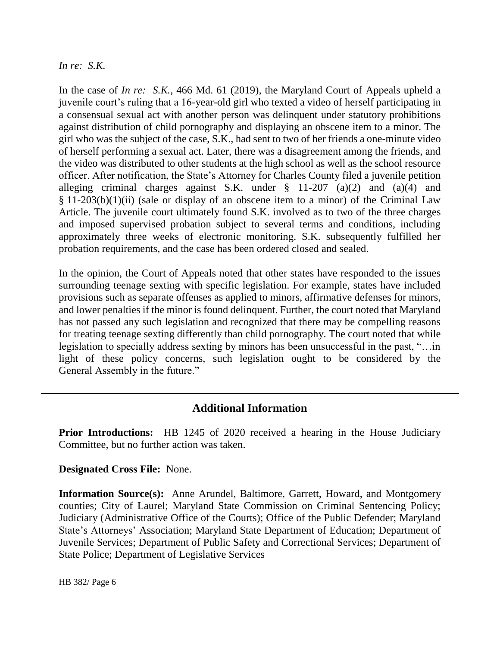#### *In re: S.K.*

In the case of *In re: S.K.,* 466 Md. 61 (2019), the Maryland Court of Appeals upheld a juvenile court's ruling that a 16-year-old girl who texted a video of herself participating in a consensual sexual act with another person was delinquent under statutory prohibitions against distribution of child pornography and displaying an obscene item to a minor. The girl who was the subject of the case, S.K., had sent to two of her friends a one-minute video of herself performing a sexual act. Later, there was a disagreement among the friends, and the video was distributed to other students at the high school as well as the school resource officer. After notification, the State's Attorney for Charles County filed a juvenile petition alleging criminal charges against S.K. under § 11-207 (a)(2) and (a)(4) and § 11-203(b)(1)(ii) (sale or display of an obscene item to a minor) of the Criminal Law Article. The juvenile court ultimately found S.K. involved as to two of the three charges and imposed supervised probation subject to several terms and conditions, including approximately three weeks of electronic monitoring. S.K. subsequently fulfilled her probation requirements, and the case has been ordered closed and sealed.

In the opinion, the Court of Appeals noted that other states have responded to the issues surrounding teenage sexting with specific legislation. For example, states have included provisions such as separate offenses as applied to minors, affirmative defenses for minors, and lower penalties if the minor is found delinquent. Further, the court noted that Maryland has not passed any such legislation and recognized that there may be compelling reasons for treating teenage sexting differently than child pornography. The court noted that while legislation to specially address sexting by minors has been unsuccessful in the past, "…in light of these policy concerns, such legislation ought to be considered by the General Assembly in the future."

# **Additional Information**

**Prior Introductions:** HB 1245 of 2020 received a hearing in the House Judiciary Committee, but no further action was taken.

#### **Designated Cross File:** None.

**Information Source(s):** Anne Arundel, Baltimore, Garrett, Howard, and Montgomery counties; City of Laurel; Maryland State Commission on Criminal Sentencing Policy; Judiciary (Administrative Office of the Courts); Office of the Public Defender; Maryland State's Attorneys' Association; Maryland State Department of Education; Department of Juvenile Services; Department of Public Safety and Correctional Services; Department of State Police; Department of Legislative Services